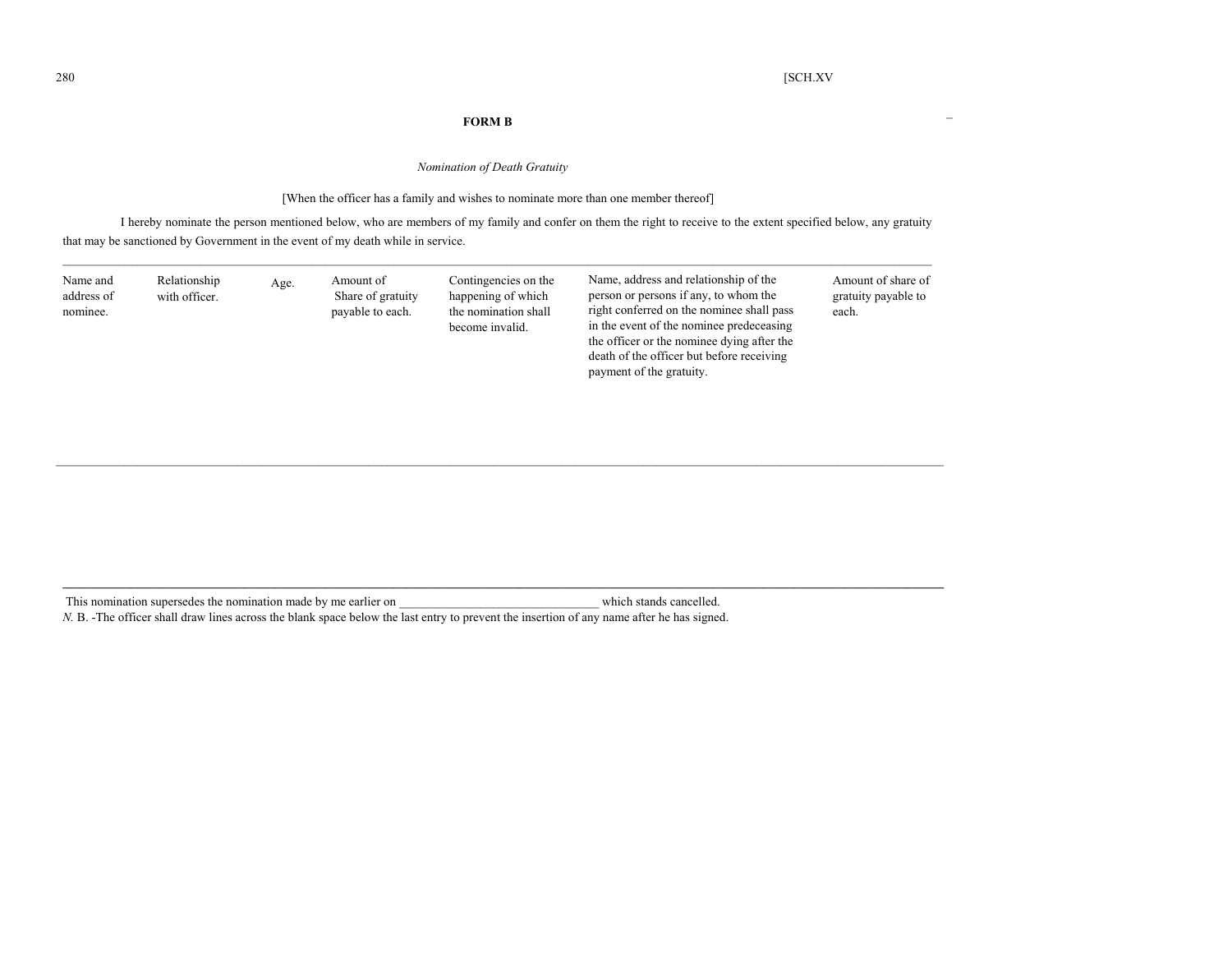## \_ **FORM B**

## *Nomination of Death Gratuity*

[When the officer has a family and wishes to nominate more than one member thereof]

I hereby nominate the person mentioned below, who are members of my family and confer on them the right to receive to the extent specified below, any gratuity that may be sanctioned by Government in the event of my death while in service.

| Name and<br>address of<br>nominee. | Relationship<br>with officer. | Age. | Amount of<br>Share of gratuity<br>payable to each. | Contingencies on the<br>happening of which<br>the nomination shall<br>become invalid. | Name, address and relationship of the<br>person or persons if any, to whom the<br>right conferred on the nominee shall pass<br>in the event of the nominee predeceasing<br>the officer or the nominee dying after the<br>death of the officer but before receiving<br>payment of the gratuity. | Amount of share of<br>gratuity payable to<br>each. |
|------------------------------------|-------------------------------|------|----------------------------------------------------|---------------------------------------------------------------------------------------|------------------------------------------------------------------------------------------------------------------------------------------------------------------------------------------------------------------------------------------------------------------------------------------------|----------------------------------------------------|
|                                    |                               |      |                                                    |                                                                                       |                                                                                                                                                                                                                                                                                                |                                                    |

**\_\_\_\_\_\_\_\_\_\_\_\_\_\_\_\_\_\_\_\_\_\_\_\_\_\_\_\_\_\_\_\_\_\_\_\_\_\_\_\_\_\_\_\_\_\_\_\_\_\_\_\_\_\_\_\_\_\_\_\_\_\_\_\_\_\_\_\_\_\_\_\_\_\_\_\_\_\_\_\_\_\_\_\_\_\_\_\_\_\_\_\_\_\_\_\_\_\_\_\_\_\_\_\_\_\_\_\_\_\_\_\_\_\_\_\_\_\_\_\_\_\_\_\_\_\_\_\_\_\_\_\_\_\_\_\_\_\_\_\_\_** 

This nomination supersedes the nomination made by me earlier on  $\blacksquare$  which stands cancelled.

*N. B.* -The officer shall draw lines across the blank space below the last entry to prevent the insertion of any name after he has signed.